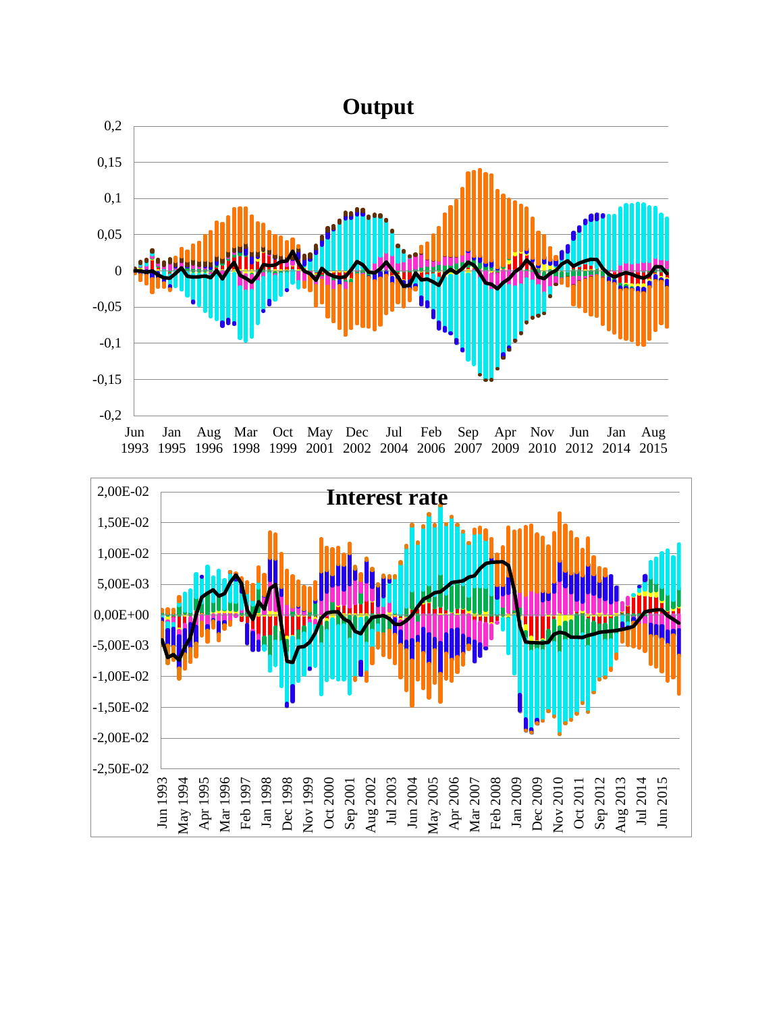

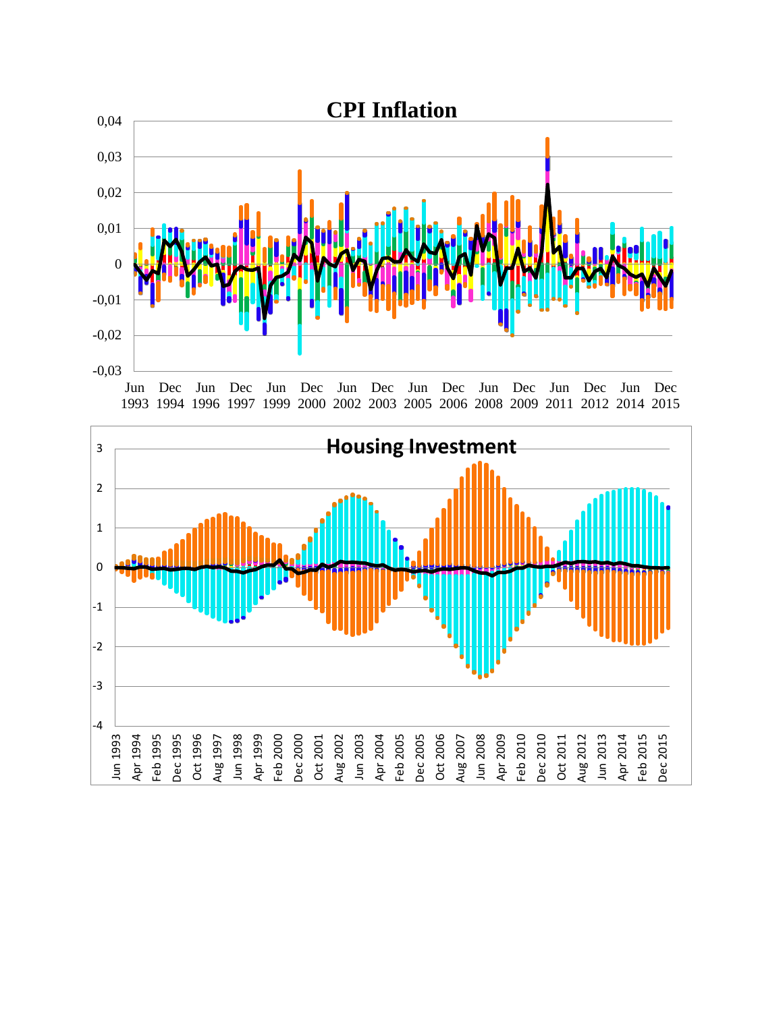